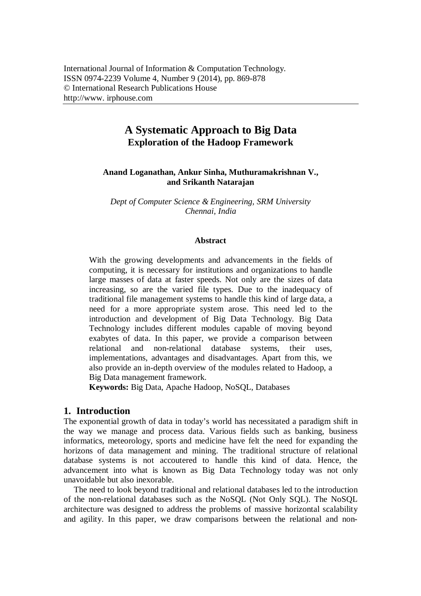# **A Systematic Approach to Big Data Exploration of the Hadoop Framework**

#### **Anand Loganathan, Ankur Sinha, Muthuramakrishnan V., and Srikanth Natarajan**

*Dept of Computer Science & Engineering, SRM University Chennai, India*

#### **Abstract**

With the growing developments and advancements in the fields of computing, it is necessary for institutions and organizations to handle large masses of data at faster speeds. Not only are the sizes of data increasing, so are the varied file types. Due to the inadequacy of traditional file management systems to handle this kind of large data, a need for a more appropriate system arose. This need led to the introduction and development of Big Data Technology. Big Data Technology includes different modules capable of moving beyond exabytes of data. In this paper, we provide a comparison between relational and non-relational database systems, their uses, implementations, advantages and disadvantages. Apart from this, we also provide an in-depth overview of the modules related to Hadoop, a Big Data management framework.

**Keywords:** Big Data, Apache Hadoop, NoSQL, Databases

### **1. Introduction**

The exponential growth of data in today's world has necessitated a paradigm shift in the way we manage and process data. Various fields such as banking, business informatics, meteorology, sports and medicine have felt the need for expanding the horizons of data management and mining. The traditional structure of relational database systems is not accoutered to handle this kind of data. Hence, the advancement into what is known as Big Data Technology today was not only unavoidable but also inexorable.

The need to look beyond traditional and relational databases led to the introduction of the non-relational databases such as the NoSQL (Not Only SQL). The NoSQL architecture was designed to address the problems of massive horizontal scalability and agility. In this paper, we draw comparisons between the relational and non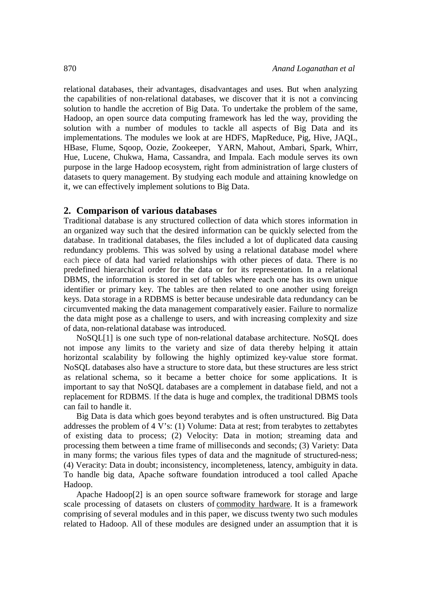relational databases, their advantages, disadvantages and uses. But when analyzing the capabilities of non-relational databases, we discover that it is not a convincing solution to handle the accretion of Big Data. To undertake the problem of the same, Hadoop, an open source data computing framework has led the way, providing the solution with a number of modules to tackle all aspects of Big Data and its implementations. The modules we look at are HDFS, MapReduce, Pig, Hive, JAQL, HBase, Flume, Sqoop, Oozie, Zookeeper, YARN, Mahout, Ambari, Spark, Whirr, Hue, Lucene, Chukwa, Hama, Cassandra, and Impala. Each module serves its own purpose in the large Hadoop ecosystem, right from administration of large clusters of datasets to query management. By studying each module and attaining knowledge on it, we can effectively implement solutions to Big Data.

#### **2. Comparison of various databases**

Traditional database is any structured collection of data which stores information in an organized way such that the desired information can be quickly selected from the database. In traditional databases, the files included a lot of duplicated data causing redundancy problems. This was solved by using a relational database model where each piece of data had varied relationships with other pieces of data. There is no predefined hierarchical order for the data or for its representation. In a relational DBMS, the information is stored in set of tables where each one has its own unique identifier or primary key. The tables are then related to one another using foreign keys. Data storage in a RDBMS is better because undesirable data redundancy can be circumvented making the data management comparatively easier. Failure to normalize the data might pose as a challenge to users, and with increasing complexity and size of data, non-relational database was introduced.

NoSQL[1] is one such type of non-relational database architecture. NoSQL does not impose any limits to the variety and size of data thereby helping it attain horizontal scalability by following the highly optimized key-value store format. NoSQL databases also have a structure to store data, but these structures are less strict as relational schema, so it became a better choice for some applications. It is important to say that NoSQL databases are a complement in database field, and not a replacement for RDBMS. If the data is huge and complex, the traditional DBMS tools can fail to handle it.

Big Data is data which goes beyond terabytes and is often unstructured. Big Data addresses the problem of 4 V's: (1) Volume: Data at rest; from terabytes to zettabytes of existing data to process; (2) Velocity: Data in motion; streaming data and processing them between a time frame of milliseconds and seconds; (3) Variety: Data in many forms; the various files types of data and the magnitude of structured-ness; (4) Veracity: Data in doubt; inconsistency, incompleteness, latency, ambiguity in data. To handle big data, Apache software foundation introduced a tool called Apache Hadoop.

Apache Hadoop[2] is an open source software framework for storage and large scale processing of datasets on clusters of commodity hardware. It is a framework comprising of several modules and in this paper, we discuss twenty two such modules related to Hadoop. All of these modules are designed under an assumption that it is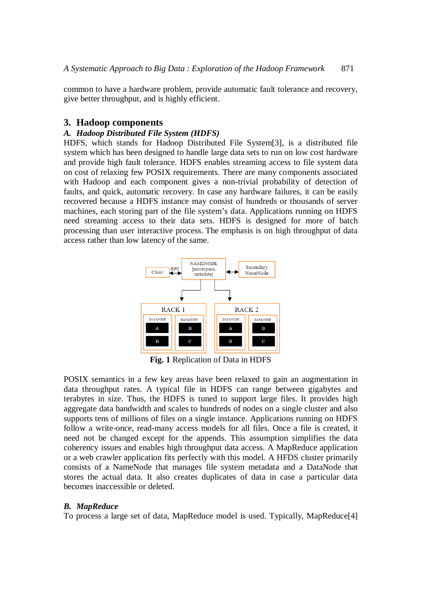common to have a hardware problem, provide automatic fault tolerance and recovery, give better throughput, and is highly efficient.

## **3. Hadoop components**

#### *A. Hadoop Distributed File System (HDFS)*

HDFS, which stands for Hadoop Distributed File System[3], is a distributed file system which has been designed to handle large data sets to run on low cost hardware and provide high fault tolerance. HDFS enables streaming access to file system data on cost of relaxing few POSIX requirements. There are many components associated with Hadoop and each component gives a non-trivial probability of detection of faults, and quick, automatic recovery. In case any hardware failures, it can be easily recovered because a HDFS instance may consist of hundreds or thousands of server machines, each storing part of the file system's data. Applications running on HDFS need streaming access to their data sets. HDFS is designed for more of batch processing than user interactive process. The emphasis is on high throughput of data access rather than low latency of the same.



**Fig. 1** Replication of Data in HDFS

POSIX semantics in a few key areas have been relaxed to gain an augmentation in data throughput rates. A typical file in HDFS can range between gigabytes and terabytes in size. Thus, the HDFS is tuned to support large files. It provides high aggregate data bandwidth and scales to hundreds of nodes on a single cluster and also supports tens of millions of files on a single instance. Applications running on HDFS follow a write-once, read-many access models for all files. Once a file is created, it need not be changed except for the appends. This assumption simplifies the data coherency issues and enables high throughput data access. A MapReduce application or a web crawler application fits perfectly with this model. A HFDS cluster primarily consists of a NameNode that manages file system metadata and a DataNode that stores the actual data. It also creates duplicates of data in case a particular data becomes inaccessible or deleted.

### *B. MapReduce*

To process a large set of data, MapReduce model is used. Typically, MapReduce[4]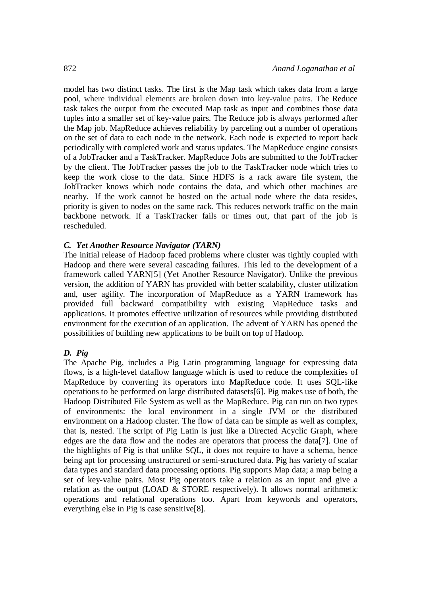model has two distinct tasks. The first is the Map task which takes data from a large pool, where individual elements are broken down into key-value pairs. The Reduce task takes the output from the executed Map task as input and combines those data tuples into a smaller set of key-value pairs. The Reduce job is always performed after the Map job. MapReduce achieves reliability by parceling out a number of operations on the set of data to each node in the network. Each node is expected to report back periodically with completed work and status updates. The MapReduce engine consists of a JobTracker and a TaskTracker. MapReduce Jobs are submitted to the JobTracker by the client. The JobTracker passes the job to the TaskTracker node which tries to keep the work close to the data. Since HDFS is a rack aware file system, the JobTracker knows which node contains the data, and which other machines are nearby. If the work cannot be hosted on the actual node where the data resides, priority is given to nodes on the same rack. This reduces network traffic on the main backbone network. If a TaskTracker fails or times out, that part of the job is rescheduled.

#### *C. Yet Another Resource Navigator (YARN)*

The initial release of Hadoop faced problems where cluster was tightly coupled with Hadoop and there were several cascading failures. This led to the development of a framework called YARN[5] (Yet Another Resource Navigator). Unlike the previous version, the addition of YARN has provided with better scalability, cluster utilization and, user agility. The incorporation of MapReduce as a YARN framework has provided full backward compatibility with existing MapReduce tasks and applications. It promotes effective utilization of resources while providing distributed environment for the execution of an application. The advent of YARN has opened the possibilities of building new applications to be built on top of Hadoop.

#### *D. Pig*

The Apache Pig, includes a Pig Latin programming language for expressing data flows, is a high-level dataflow language which is used to reduce the complexities of MapReduce by converting its operators into MapReduce code. It uses SQL-like operations to be performed on large distributed datasets[6]. Pig makes use of both, the Hadoop Distributed File System as well as the MapReduce. Pig can run on two types of environments: the local environment in a single JVM or the distributed environment on a Hadoop cluster. The flow of data can be simple as well as complex, that is, nested. The script of Pig Latin is just like a Directed Acyclic Graph, where edges are the data flow and the nodes are operators that process the data[7]. One of the highlights of Pig is that unlike SQL, it does not require to have a schema, hence being apt for processing unstructured or semi-structured data. Pig has variety of scalar data types and standard data processing options. Pig supports Map data; a map being a set of key-value pairs. Most Pig operators take a relation as an input and give a relation as the output (LOAD & STORE respectively). It allows normal arithmetic operations and relational operations too. Apart from keywords and operators, everything else in Pig is case sensitive[8].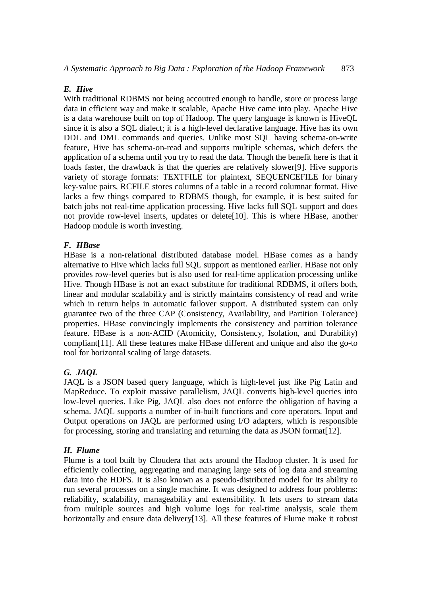#### *E. Hive*

With traditional RDBMS not being accoutred enough to handle, store or process large data in efficient way and make it scalable, Apache Hive came into play. Apache Hive is a data warehouse built on top of Hadoop. The query language is known is HiveQL since it is also a SQL dialect; it is a high-level declarative language. Hive has its own DDL and DML commands and queries. Unlike most SQL having schema-on-write feature, Hive has schema-on-read and supports multiple schemas, which defers the application of a schema until you try to read the data. Though the benefit here is that it loads faster, the drawback is that the queries are relatively slower[9]. Hive supports variety of storage formats: TEXTFILE for plaintext, SEQUENCEFILE for binary key-value pairs, RCFILE stores columns of a table in a record columnar format. Hive lacks a few things compared to RDBMS though, for example, it is best suited for batch jobs not real-time application processing. Hive lacks full SQL support and does not provide row-level inserts, updates or delete[10]. This is where HBase, another Hadoop module is worth investing.

### *F. HBase*

HBase is a non-relational distributed database model. HBase comes as a handy alternative to Hive which lacks full SQL support as mentioned earlier. HBase not only provides row-level queries but is also used for real-time application processing unlike Hive. Though HBase is not an exact substitute for traditional RDBMS, it offers both, linear and modular scalability and is strictly maintains consistency of read and write which in return helps in automatic failover support. A distributed system can only guarantee two of the three CAP (Consistency, Availability, and Partition Tolerance) properties. HBase convincingly implements the consistency and partition tolerance feature. HBase is a non-ACID (Atomicity, Consistency, Isolation, and Durability) compliant[11]. All these features make HBase different and unique and also the go-to tool for horizontal scaling of large datasets.

### *G. JAQL*

JAQL is a JSON based query language, which is high-level just like Pig Latin and MapReduce. To exploit massive parallelism, JAQL converts high-level queries into low-level queries. Like Pig, JAQL also does not enforce the obligation of having a schema. JAQL supports a number of in-built functions and core operators. Input and Output operations on JAQL are performed using I/O adapters, which is responsible for processing, storing and translating and returning the data as JSON format[12].

#### *H. Flume*

Flume is a tool built by Cloudera that acts around the Hadoop cluster. It is used for efficiently collecting, aggregating and managing large sets of log data and streaming data into the HDFS. It is also known as a pseudo-distributed model for its ability to run several processes on a single machine. It was designed to address four problems: reliability, scalability, manageability and extensibility. It lets users to stream data from multiple sources and high volume logs for real-time analysis, scale them horizontally and ensure data delivery[13]. All these features of Flume make it robust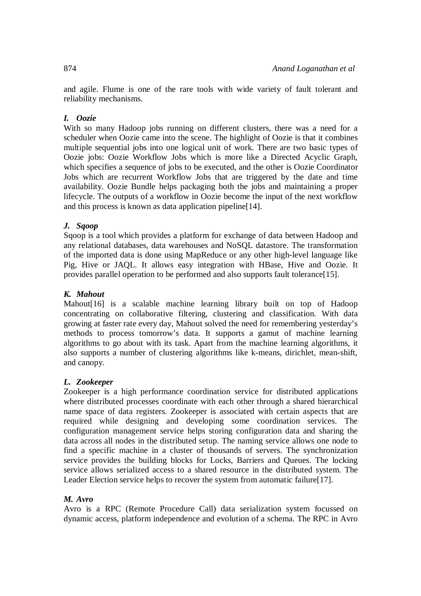and agile. Flume is one of the rare tools with wide variety of fault tolerant and reliability mechanisms.

### *I. Oozie*

With so many Hadoop jobs running on different clusters, there was a need for a scheduler when Oozie came into the scene. The highlight of Oozie is that it combines multiple sequential jobs into one logical unit of work. There are two basic types of Oozie jobs: Oozie Workflow Jobs which is more like a Directed Acyclic Graph, which specifies a sequence of jobs to be executed, and the other is Oozie Coordinator Jobs which are recurrent Workflow Jobs that are triggered by the date and time availability. Oozie Bundle helps packaging both the jobs and maintaining a proper lifecycle. The outputs of a workflow in Oozie become the input of the next workflow and this process is known as data application pipeline [14].

#### *J. Sqoop*

Sqoop is a tool which provides a platform for exchange of data between Hadoop and any relational databases, data warehouses and NoSQL datastore. The transformation of the imported data is done using MapReduce or any other high-level language like Pig, Hive or JAQL. It allows easy integration with HBase, Hive and Oozie. It provides parallel operation to be performed and also supports fault tolerance[15].

#### *K. Mahout*

Mahout[16] is a scalable machine learning library built on top of Hadoop concentrating on collaborative filtering, clustering and classification. With data growing at faster rate every day, Mahout solved the need for remembering yesterday's methods to process tomorrow's data. It supports a gamut of machine learning algorithms to go about with its task. Apart from the machine learning algorithms, it also supports a number of clustering algorithms like k-means, dirichlet, mean-shift, and canopy.

#### *L. Zookeeper*

Zookeeper is a high performance coordination service for distributed applications where distributed processes coordinate with each other through a shared hierarchical name space of data registers. Zookeeper is associated with certain aspects that are required while designing and developing some coordination services. The configuration management service helps storing configuration data and sharing the data across all nodes in the distributed setup. The naming service allows one node to find a specific machine in a cluster of thousands of servers. The synchronization service provides the building blocks for Locks, Barriers and Queues. The locking service allows serialized access to a shared resource in the distributed system. The Leader Election service helps to recover the system from automatic failure[17].

#### *M. Avro*

Avro is a RPC (Remote Procedure Call) data serialization system focussed on dynamic access, platform independence and evolution of a schema. The RPC in Avro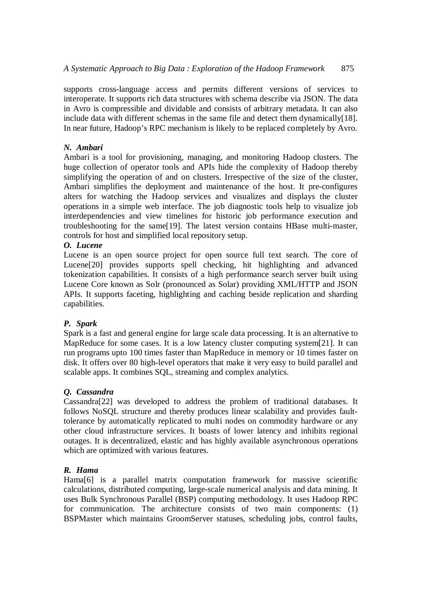supports cross-language access and permits different versions of services to interoperate. It supports rich data structures with schema describe via JSON. The data in Avro is compressible and dividable and consists of arbitrary metadata. It can also include data with different schemas in the same file and detect them dynamically[18]. In near future, Hadoop's RPC mechanism is likely to be replaced completely by Avro.

## *N. Ambari*

Ambari is a tool for provisioning, managing, and monitoring Hadoop clusters. The huge collection of operator tools and APIs hide the complexity of Hadoop thereby simplifying the operation of and on clusters. Irrespective of the size of the cluster, Ambari simplifies the deployment and maintenance of the host. It pre-configures alters for watching the Hadoop services and visualizes and displays the cluster operations in a simple web interface. The job diagnostic tools help to visualize job interdependencies and view timelines for historic job performance execution and troubleshooting for the same[19]. The latest version contains HBase multi-master, controls for host and simplified local repository setup.

### *O. Lucene*

Lucene is an open source project for open source full text search. The core of Lucene[20] provides supports spell checking, hit highlighting and advanced tokenization capabilities. It consists of a high performance search server built using Lucene Core known as Solr (pronounced as Solar) providing XML/HTTP and JSON APIs. It supports faceting, highlighting and caching beside replication and sharding capabilities.

## *P. Spark*

Spark is a fast and general engine for large scale data processing. It is an alternative to MapReduce for some cases. It is a low latency cluster computing system[21]. It can run programs upto 100 times faster than MapReduce in memory or 10 times faster on disk. It offers over 80 high-level operators that make it very easy to build parallel and scalable apps. It combines SQL, streaming and complex analytics.

## *Q. Cassandra*

Cassandra[22] was developed to address the problem of traditional databases. It follows NoSQL structure and thereby produces linear scalability and provides faulttolerance by automatically replicated to multi nodes on commodity hardware or any other cloud infrastructure services. It boasts of lower latency and inhibits regional outages. It is decentralized, elastic and has highly available asynchronous operations which are optimized with various features.

### *R. Hama*

Hama[6] is a parallel matrix computation framework for massive scientific calculations, distributed computing, large-scale numerical analysis and data mining. It uses Bulk Synchronous Parallel (BSP) computing methodology. It uses Hadoop RPC for communication. The architecture consists of two main components: (1) BSPMaster which maintains GroomServer statuses, scheduling jobs, control faults,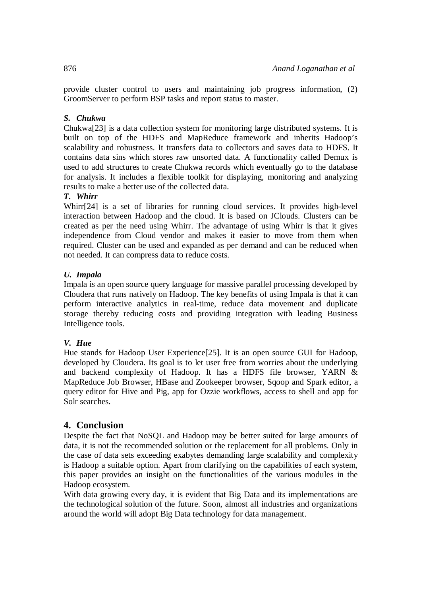provide cluster control to users and maintaining job progress information, (2) GroomServer to perform BSP tasks and report status to master.

### *S. Chukwa*

Chukwa[23] is a data collection system for monitoring large distributed systems. It is built on top of the HDFS and MapReduce framework and inherits Hadoop's scalability and robustness. It transfers data to collectors and saves data to HDFS. It contains data sins which stores raw unsorted data. A functionality called Demux is used to add structures to create Chukwa records which eventually go to the database for analysis. It includes a flexible toolkit for displaying, monitoring and analyzing results to make a better use of the collected data.

#### *T. Whirr*

Whirr<sup>[24]</sup> is a set of libraries for running cloud services. It provides high-level interaction between Hadoop and the cloud. It is based on JClouds. Clusters can be created as per the need using Whirr. The advantage of using Whirr is that it gives independence from Cloud vendor and makes it easier to move from them when required. Cluster can be used and expanded as per demand and can be reduced when not needed. It can compress data to reduce costs.

#### *U. Impala*

Impala is an open source query language for massive parallel processing developed by Cloudera that runs natively on Hadoop. The key benefits of using Impala is that it can perform interactive analytics in real-time, reduce data movement and duplicate storage thereby reducing costs and providing integration with leading Business Intelligence tools.

#### *V. Hue*

Hue stands for Hadoop User Experience[25]. It is an open source GUI for Hadoop, developed by Cloudera. Its goal is to let user free from worries about the underlying and backend complexity of Hadoop. It has a HDFS file browser, YARN & MapReduce Job Browser, HBase and Zookeeper browser, Sqoop and Spark editor, a query editor for Hive and Pig, app for Ozzie workflows, access to shell and app for Solr searches.

### **4. Conclusion**

Despite the fact that NoSQL and Hadoop may be better suited for large amounts of data, it is not the recommended solution or the replacement for all problems. Only in the case of data sets exceeding exabytes demanding large scalability and complexity is Hadoop a suitable option. Apart from clarifying on the capabilities of each system, this paper provides an insight on the functionalities of the various modules in the Hadoop ecosystem.

With data growing every day, it is evident that Big Data and its implementations are the technological solution of the future. Soon, almost all industries and organizations around the world will adopt Big Data technology for data management.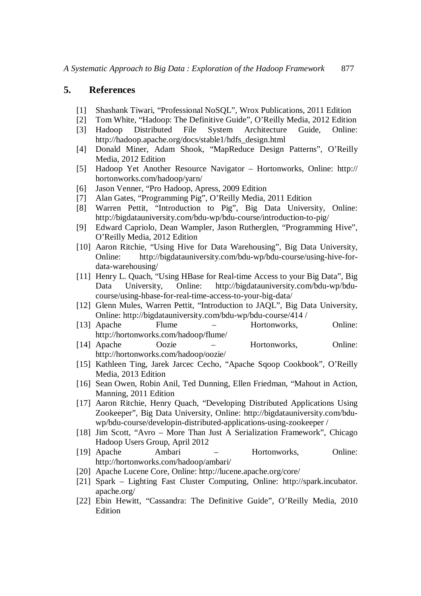## **5. References**

- [1] Shashank Tiwari, "Professional NoSQL", Wrox Publications, 2011 Edition
- [2] Tom White, "Hadoop: The Definitive Guide", O'Reilly Media, 2012 Edition
- [3] Hadoop Distributed File System Architecture Guide, Online: http://hadoop.apache.org/docs/stable1/hdfs\_design.html
- [4] Donald Miner, Adam Shook, "MapReduce Design Patterns", O'Reilly Media, 2012 Edition
- [5] Hadoop Yet Another Resource Navigator Hortonworks, Online: http:// hortonworks.com/hadoop/yarn/
- [6] Jason Venner, "Pro Hadoop, Apress, 2009 Edition
- [7] Alan Gates, "Programming Pig", O'Reilly Media, 2011 Edition
- [8] Warren Pettit, "Introduction to Pig", Big Data University, Online: http://bigdatauniversity.com/bdu-wp/bdu-course/introduction-to-pig/
- [9] Edward Capriolo, Dean Wampler, Jason Rutherglen, "Programming Hive", O'Reilly Media, 2012 Edition
- [10] Aaron Ritchie, "Using Hive for Data Warehousing", Big Data University, Online: http://bigdatauniversity.com/bdu-wp/bdu-course/using-hive-fordata-warehousing/
- [11] Henry L. Quach, "Using HBase for Real-time Access to your Big Data", Big Data University, Online: http://bigdatauniversity.com/bdu-wp/bducourse/using-hbase-for-real-time-access-to-your-big-data/
- [12] Glenn Mules, Warren Pettit, "Introduction to JAQL", Big Data University, Online: http://bigdatauniversity.com/bdu-wp/bdu-course/414 /
- [13] Apache Flume Hortonworks, Online: http://hortonworks.com/hadoop/flume/
- [14] Apache Oozie Hortonworks, Online: http://hortonworks.com/hadoop/oozie/
- [15] Kathleen Ting, Jarek Jarcec Cecho, "Apache Sqoop Cookbook", O'Reilly Media, 2013 Edition
- [16] Sean Owen, Robin Anil, Ted Dunning, Ellen Friedman, "Mahout in Action, Manning, 2011 Edition
- [17] Aaron Ritchie, Henry Quach, "Developing Distributed Applications Using Zookeeper", Big Data University, Online: http://bigdatauniversity.com/bduwp/bdu-course/developin-distributed-applications-using-zookeeper /
- [18] Jim Scott, "Avro More Than Just A Serialization Framework", Chicago Hadoop Users Group, April 2012
- [19] Apache Ambari Hortonworks, Online: http://hortonworks.com/hadoop/ambari/
- [20] Apache Lucene Core, Online: http://lucene.apache.org/core/
- [21] Spark Lighting Fast Cluster Computing, Online: http://spark.incubator. apache.org/
- [22] Ebin Hewitt, "Cassandra: The Definitive Guide", O'Reilly Media, 2010 Edition